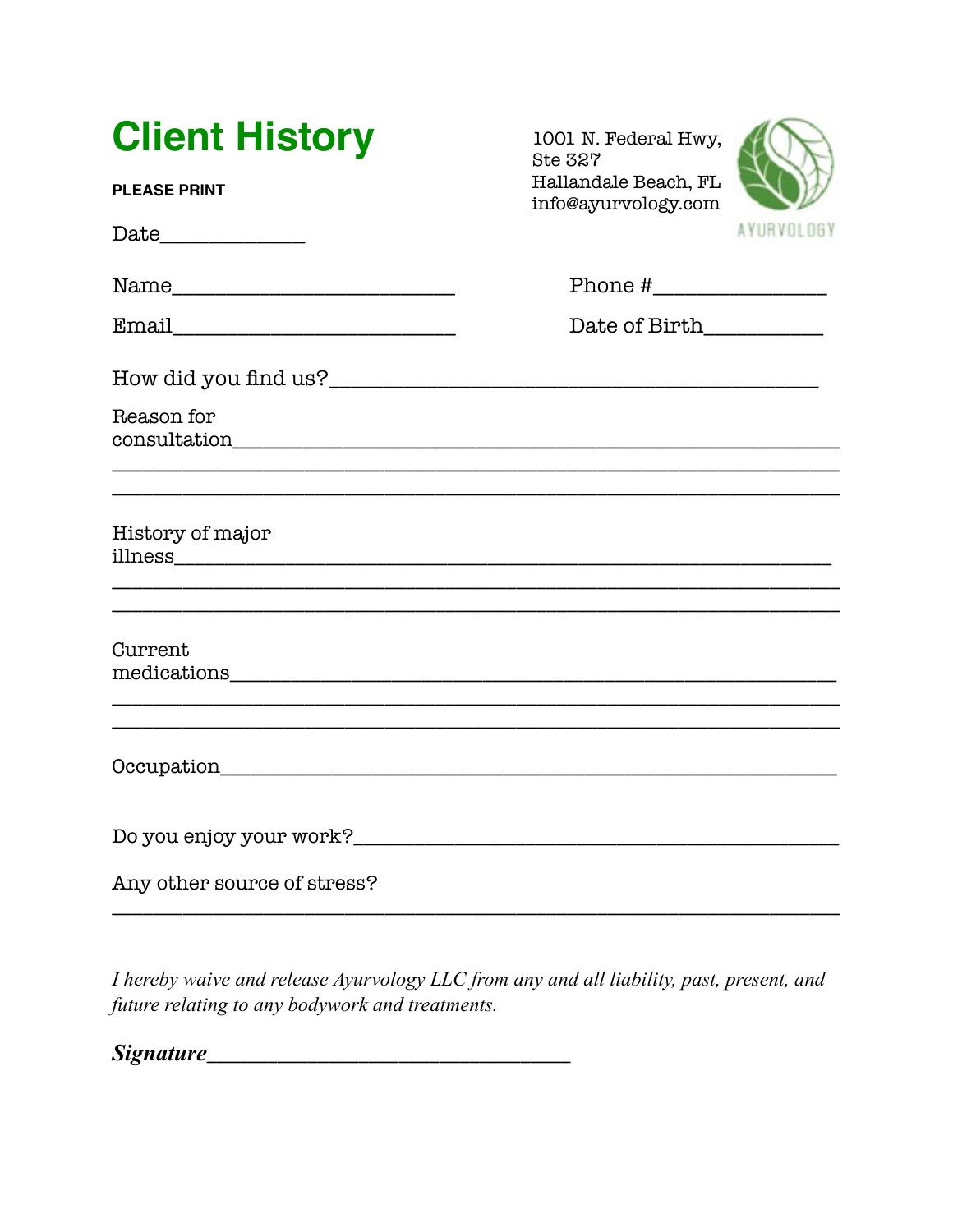| <b>Client History</b>                                                                                                                    | 1001 N. Federal Hwy,<br><b>Ste 327</b>      |                   |  |
|------------------------------------------------------------------------------------------------------------------------------------------|---------------------------------------------|-------------------|--|
| <b>PLEASE PRINT</b>                                                                                                                      | Hallandale Beach, FL<br>info@ayurvology.com |                   |  |
|                                                                                                                                          |                                             | <b>AYURVOLOGY</b> |  |
|                                                                                                                                          |                                             |                   |  |
|                                                                                                                                          | Date of Birth____________                   |                   |  |
|                                                                                                                                          |                                             |                   |  |
| Reason for                                                                                                                               |                                             |                   |  |
|                                                                                                                                          |                                             |                   |  |
| History of major<br><u> 1989 - Johann Barn, mars et al. 1989 - Anna anno 1989 - Anna ann an t-Amhain ann an t-Amhain ann an t-Amhain</u> |                                             |                   |  |
|                                                                                                                                          |                                             |                   |  |
| Current                                                                                                                                  |                                             |                   |  |
| Occupation                                                                                                                               |                                             |                   |  |
|                                                                                                                                          |                                             |                   |  |
| Any other source of stress?                                                                                                              |                                             |                   |  |

I hereby waive and release Ayurvology LLC from any and all liability, past, present, and future relating to any bodywork and treatments.